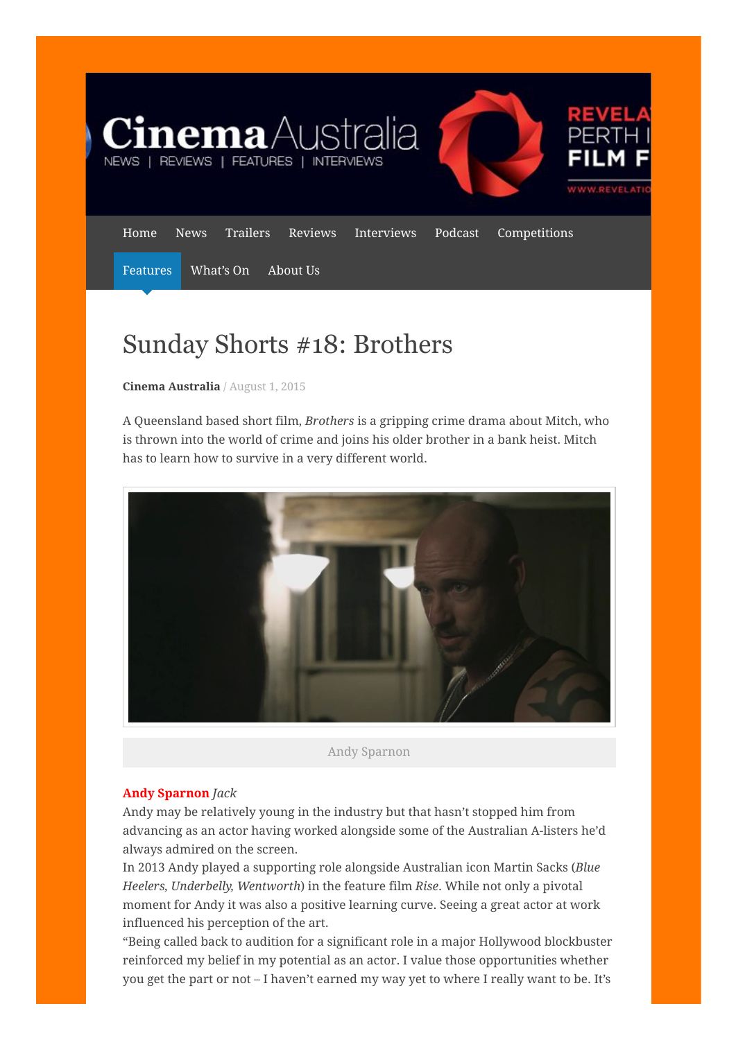

# Sunday Shorts #18: Brothers

Cinema [Australia](https://cinemaaustralia.com.au/author/cinemaaustralia/) / [August](https://cinemaaustralia.com.au/2015/08/01/sunday-shorts-18-brothers/) 1, 2015

A Queensland based short film, Brothers is a gripping crime drama about Mitch, who is thrown into the world of crime and joins his older brother in a bank heist. Mitch has to learn how to survive in a very different world.



Andy Sparnon

## **Andy Sparnon Jack**

Andy may be relatively young in the industry but that hasn't stopped him from advancing as an actor having worked alongside some of the Australian A-listers he'd always admired on the screen.

In 2013 Andy played a supporting role alongside Australian icon Martin Sacks (Blue Heelers, Underbelly, Wentworth) in the feature film Rise. While not only a pivotal moment for Andy it was also a positive learning curve. Seeing a great actor at work influenced his perception of the art.

"Being called back to audition for a significant role in a major Hollywood blockbuster reinforced my belief in my potential as an actor. I value those opportunities whether you get the part or not – I haven't earned my way yet to where I really want to be. It's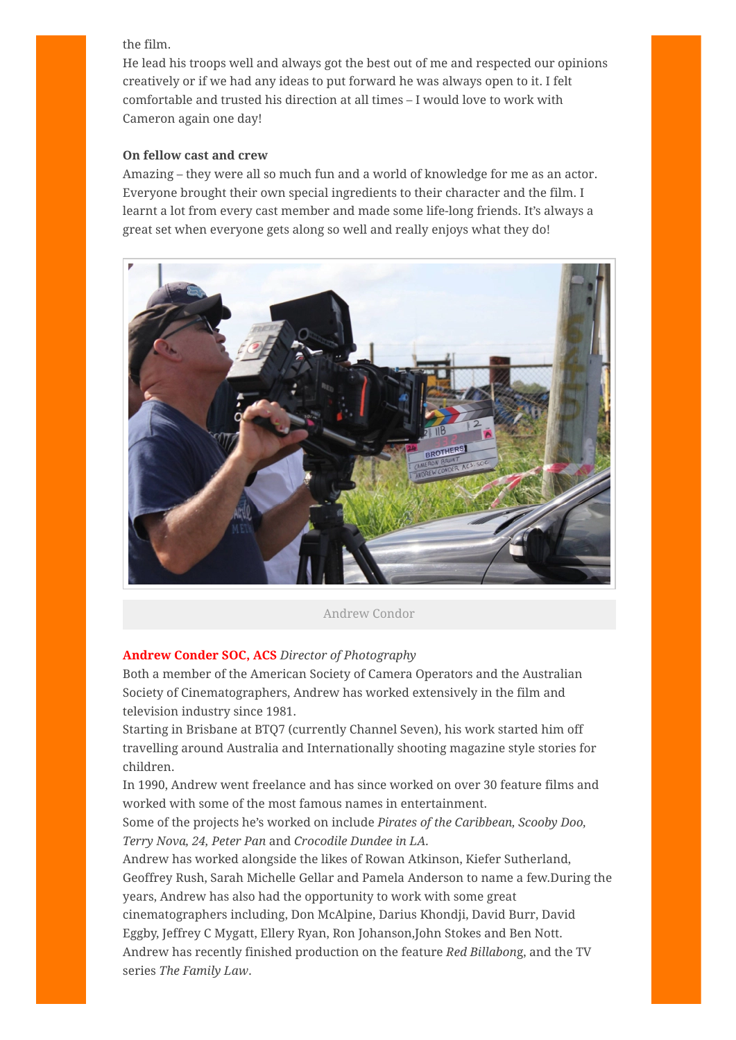the film.

He lead his troops well and always got the best out of me and respected our opinions creatively or if we had any ideas to put forward he was always open to it. I felt comfortable and trusted his direction at all times – I would love to work with Cameron again one day!

## On fellow cast and crew

Amazing – they were all so much fun and a world of knowledge for me as an actor. Everyone brought their own special ingredients to their character and the film. I learnt a lot from every cast member and made some life-long friends. It's always a great set when everyone gets along so well and really enjoys what they do!



Andrew Condor

## Andrew Conder SOC, ACS Director of Photography

Both a member of the American Society of Camera Operators and the Australian Society of Cinematographers, Andrew has worked extensively in the film and television industry since 1981.

Starting in Brisbane at BTQ7 (currently Channel Seven), his work started him off travelling around Australia and Internationally shooting magazine style stories for children.

In 1990, Andrew went freelance and has since worked on over 30 feature films and worked with some of the most famous names in entertainment.

Some of the projects he's worked on include Pirates of the Caribbean, Scooby Doo, Terry Nova, 24, Peter Pan and Crocodile Dundee in LA.

Andrew has worked alongside the likes of Rowan Atkinson, Kiefer Sutherland, Geoffrey Rush, Sarah Michelle Gellar and Pamela Anderson to name a few.During the years, Andrew has also had the opportunity to work with some great cinematographers including, Don McAlpine, Darius Khondji, David Burr, David Eggby, Jeffrey C Mygatt, Ellery Ryan, Ron Johanson,John Stokes and Ben Nott. Andrew has recently finished production on the feature Red Billabong, and the TV series The Family Law.